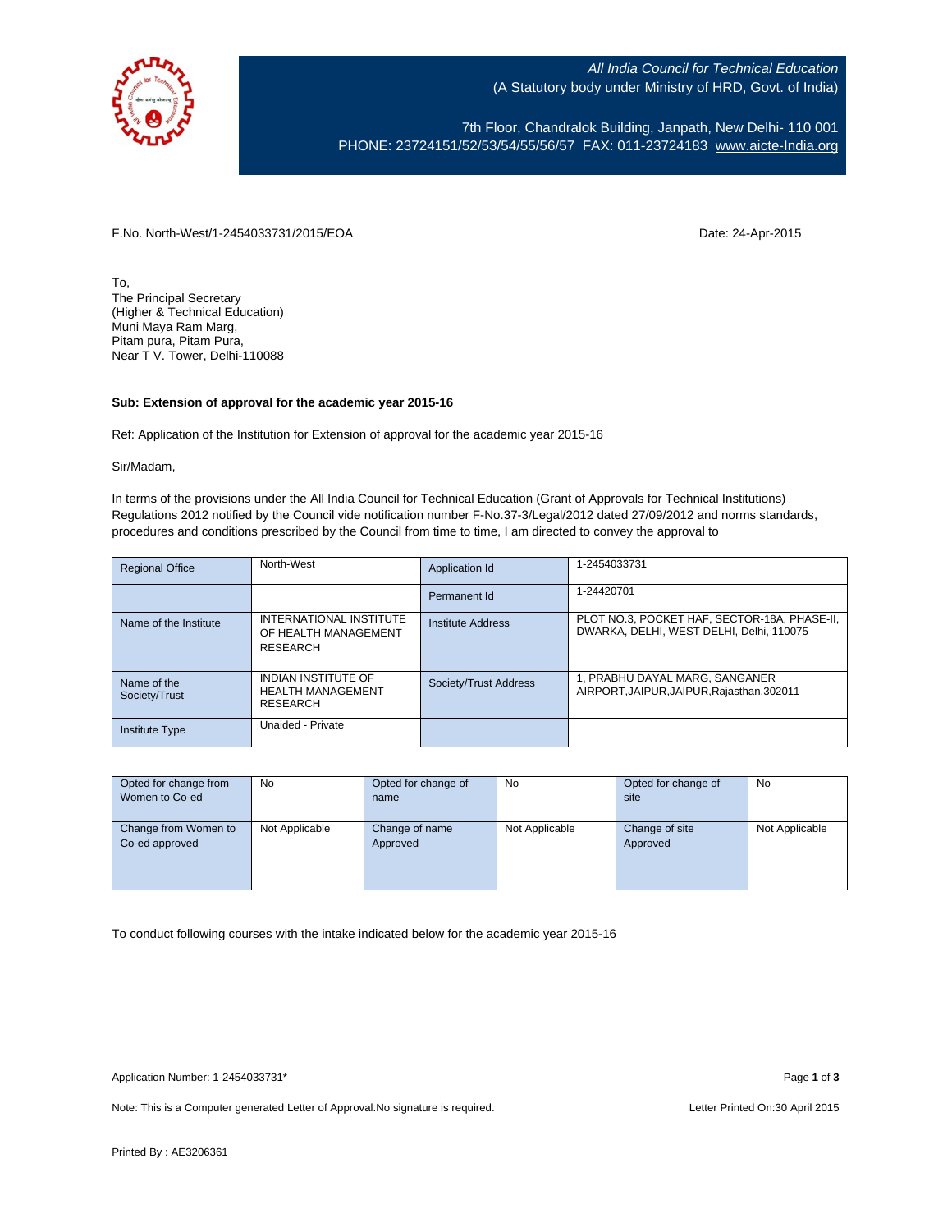

All India Council for Technical Education (A Statutory body under Ministry of HRD, Govt. of India)

7th Floor, Chandralok Building, Janpath, New Delhi- 110 001 PHONE: 23724151/52/53/54/55/56/57 FAX: 011-23724183 [www.aicte-India.org](http://www.aicte-india.org/)

F.No. North-West/1-2454033731/2015/EOA Date: 24-Apr-2015

To, The Principal Secretary (Higher & Technical Education) Muni Maya Ram Marg, Pitam pura, Pitam Pura, Near T V. Tower, Delhi-110088

## **Sub: Extension of approval for the academic year 2015-16**

Ref: Application of the Institution for Extension of approval for the academic year 2015-16

Sir/Madam,

In terms of the provisions under the All India Council for Technical Education (Grant of Approvals for Technical Institutions) Regulations 2012 notified by the Council vide notification number F-No.37-3/Legal/2012 dated 27/09/2012 and norms standards, procedures and conditions prescribed by the Council from time to time, I am directed to convey the approval to

| <b>Regional Office</b>       | North-West                                                         | Application Id           | 1-2454033731                                                                             |
|------------------------------|--------------------------------------------------------------------|--------------------------|------------------------------------------------------------------------------------------|
|                              |                                                                    | Permanent Id             | 1-24420701                                                                               |
| Name of the Institute        | INTERNATIONAL INSTITUTE<br>OF HEALTH MANAGEMENT<br>RESEARCH        | <b>Institute Address</b> | PLOT NO.3, POCKET HAF, SECTOR-18A, PHASE-II,<br>DWARKA, DELHI, WEST DELHI, Delhi, 110075 |
| Name of the<br>Society/Trust | <b>INDIAN INSTITUTE OF</b><br><b>HEALTH MANAGEMENT</b><br>RESEARCH | Society/Trust Address    | 1, PRABHU DAYAL MARG, SANGANER<br>AIRPORT, JAIPUR, JAIPUR, Rajasthan, 302011             |
| <b>Institute Type</b>        | Unaided - Private                                                  |                          |                                                                                          |

| Opted for change from | No.            | Opted for change of | No             | Opted for change of | No             |
|-----------------------|----------------|---------------------|----------------|---------------------|----------------|
| Women to Co-ed        |                | name                |                | site                |                |
|                       |                |                     |                |                     |                |
| Change from Women to  | Not Applicable | Change of name      | Not Applicable | Change of site      | Not Applicable |
| Co-ed approved        |                | Approved            |                | Approved            |                |
|                       |                |                     |                |                     |                |
|                       |                |                     |                |                     |                |
|                       |                |                     |                |                     |                |

To conduct following courses with the intake indicated below for the academic year 2015-16

Application Number: 1-2454033731\* Page **1** of **3**

Note: This is a Computer generated Letter of Approval. No signature is required. Letter Printed On:30 April 2015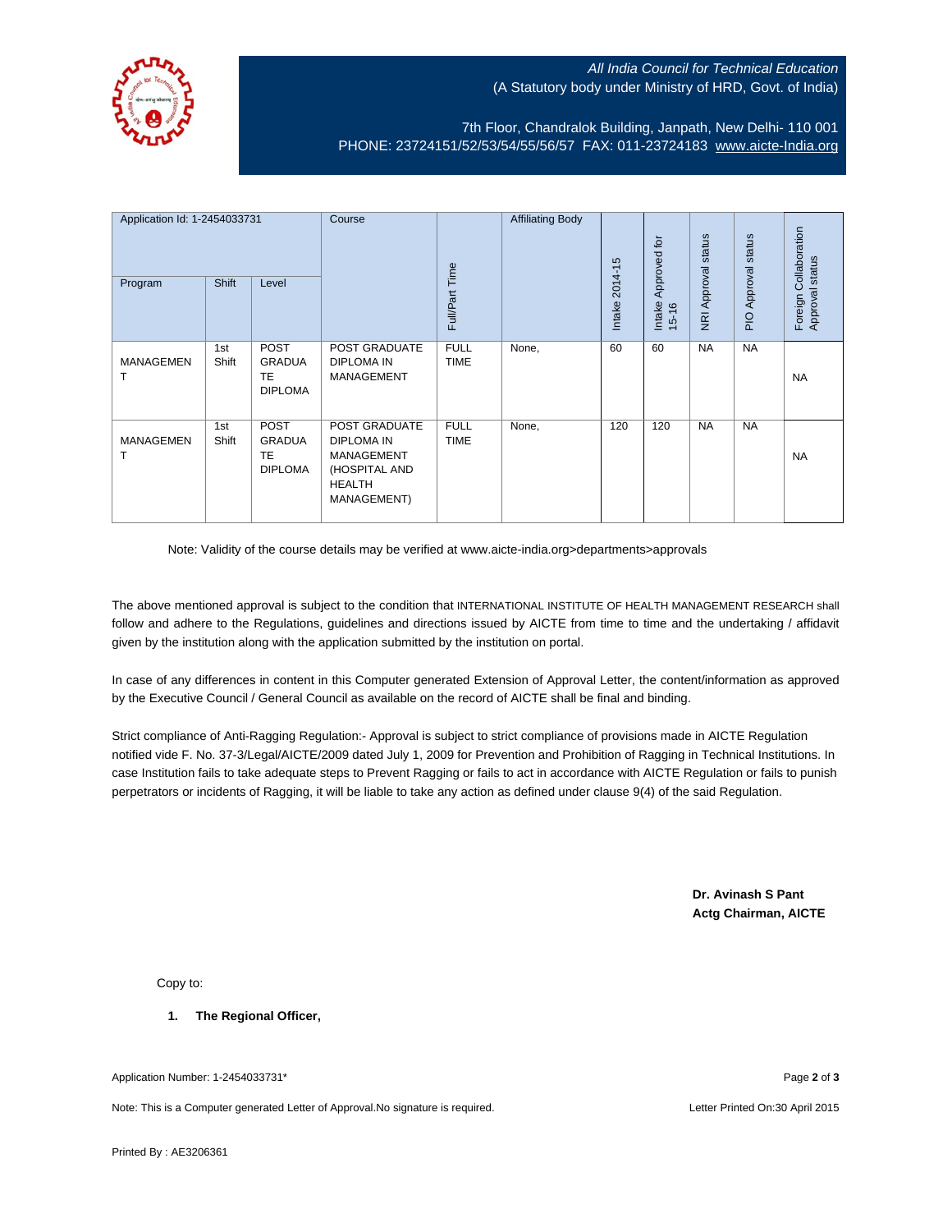

## All India Council for Technical Education (A Statutory body under Ministry of HRD, Govt. of India)

7th Floor, Chandralok Building, Janpath, New Delhi- 110 001 PHONE: 23724151/52/53/54/55/56/57 FAX: 011-23724183 [www.aicte-India.org](http://www.aicte-india.org/)

| Application Id: 1-2454033731<br>Shift<br>Program<br>Level |              | Course                                                      | Full/Part Time                                                                                           | <b>Affiliating Body</b>    | $2014 - 15$ | Approved for | NRI Approval status | Approval status | Collaboration<br>Approval status |           |
|-----------------------------------------------------------|--------------|-------------------------------------------------------------|----------------------------------------------------------------------------------------------------------|----------------------------|-------------|--------------|---------------------|-----------------|----------------------------------|-----------|
|                                                           |              |                                                             |                                                                                                          |                            |             | Intake       | Intake<br>$15 - 16$ |                 | $\frac{1}{2}$                    | Foreign   |
| <b>MANAGEMEN</b>                                          | 1st<br>Shift | <b>POST</b><br><b>GRADUA</b><br><b>TE</b><br><b>DIPLOMA</b> | POST GRADUATE<br><b>DIPLOMA IN</b><br><b>MANAGEMENT</b>                                                  | <b>FULL</b><br><b>TIME</b> | None,       | 60           | 60                  | <b>NA</b>       | <b>NA</b>                        | <b>NA</b> |
| <b>MANAGEMEN</b>                                          | 1st<br>Shift | <b>POST</b><br><b>GRADUA</b><br><b>TE</b><br><b>DIPLOMA</b> | POST GRADUATE<br><b>DIPLOMA IN</b><br><b>MANAGEMENT</b><br>(HOSPITAL AND<br><b>HEALTH</b><br>MANAGEMENT) | <b>FULL</b><br><b>TIME</b> | None,       | 120          | 120                 | <b>NA</b>       | <b>NA</b>                        | <b>NA</b> |

Note: Validity of the course details may be verified at www.aicte-india.org>departments>approvals

The above mentioned approval is subject to the condition that INTERNATIONAL INSTITUTE OF HEALTH MANAGEMENT RESEARCH shall follow and adhere to the Regulations, guidelines and directions issued by AICTE from time to time and the undertaking / affidavit given by the institution along with the application submitted by the institution on portal.

In case of any differences in content in this Computer generated Extension of Approval Letter, the content/information as approved by the Executive Council / General Council as available on the record of AICTE shall be final and binding.

Strict compliance of Anti-Ragging Regulation:- Approval is subject to strict compliance of provisions made in AICTE Regulation notified vide F. No. 37-3/Legal/AICTE/2009 dated July 1, 2009 for Prevention and Prohibition of Ragging in Technical Institutions. In case Institution fails to take adequate steps to Prevent Ragging or fails to act in accordance with AICTE Regulation or fails to punish perpetrators or incidents of Ragging, it will be liable to take any action as defined under clause 9(4) of the said Regulation.

> **Dr. Avinash S Pant Actg Chairman, AICTE**

Copy to:

**1. The Regional Officer,**

Application Number: 1-2454033731\* Page **2** of **3**

Note: This is a Computer generated Letter of Approval.No signature is required. Letter According the state of Approval.No signature is required.